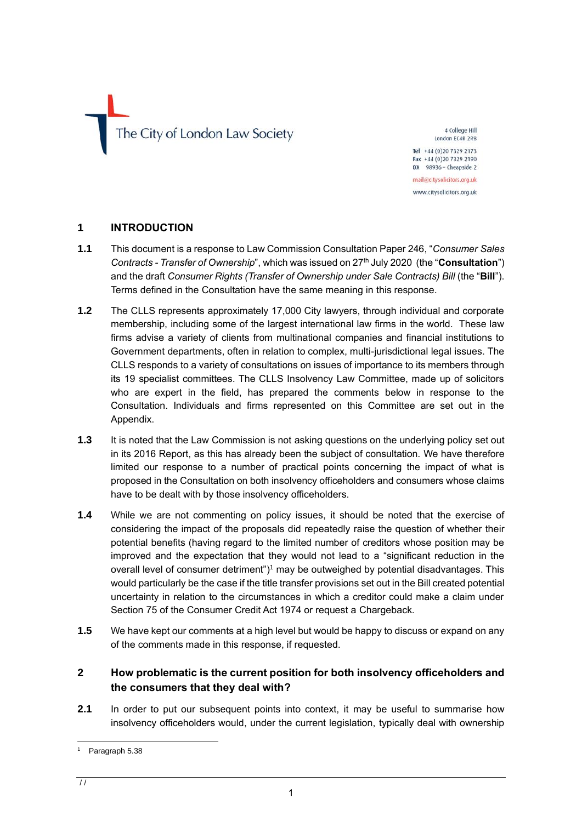The City of London Law Society

4 College Hill London FC4R 2RB Tel +44 (0)20 7329 2173

Fax +44 (0)20 7329 2190 DX 98936 - Cheapside 2 mail@citysolicitors.org.uk

www.citysolicitors.org.uk

### **1 INTRODUCTION**

- **1.1** This document is a response to Law Commission Consultation Paper 246, "*Consumer Sales Contracts - Transfer of Ownership*", which was issued on 27th July 2020 (the "**Consultation**") and the draft *Consumer Rights (Transfer of Ownership under Sale Contracts) Bill* (the "**Bill**"). Terms defined in the Consultation have the same meaning in this response.
- **1.2** The CLLS represents approximately 17,000 City lawyers, through individual and corporate membership, including some of the largest international law firms in the world. These law firms advise a variety of clients from multinational companies and financial institutions to Government departments, often in relation to complex, multi-jurisdictional legal issues. The CLLS responds to a variety of consultations on issues of importance to its members through its 19 specialist committees. The CLLS Insolvency Law Committee, made up of solicitors who are expert in the field, has prepared the comments below in response to the Consultation. Individuals and firms represented on this Committee are set out in the Appendix.
- **1.3** It is noted that the Law Commission is not asking questions on the underlying policy set out in its 2016 Report, as this has already been the subject of consultation. We have therefore limited our response to a number of practical points concerning the impact of what is proposed in the Consultation on both insolvency officeholders and consumers whose claims have to be dealt with by those insolvency officeholders.
- **1.4** While we are not commenting on policy issues, it should be noted that the exercise of considering the impact of the proposals did repeatedly raise the question of whether their potential benefits (having regard to the limited number of creditors whose position may be improved and the expectation that they would not lead to a "significant reduction in the overall level of consumer detriment")<sup>1</sup> may be outweighed by potential disadvantages. This would particularly be the case if the title transfer provisions set out in the Bill created potential uncertainty in relation to the circumstances in which a creditor could make a claim under Section 75 of the Consumer Credit Act 1974 or request a Chargeback.
- **1.5** We have kept our comments at a high level but would be happy to discuss or expand on any of the comments made in this response, if requested.

# **2 How problematic is the current position for both insolvency officeholders and the consumers that they deal with?**

**2.1** In order to put our subsequent points into context, it may be useful to summarise how insolvency officeholders would, under the current legislation, typically deal with ownership

Paragraph 5.38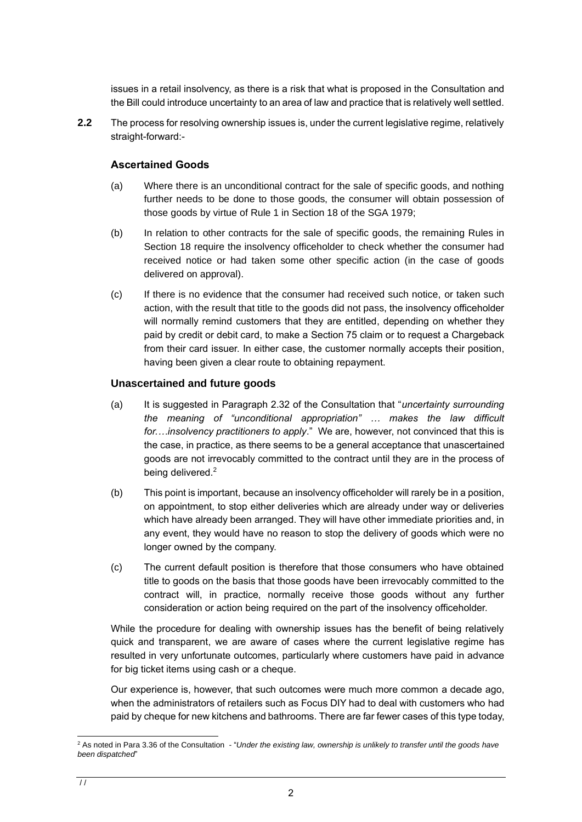issues in a retail insolvency, as there is a risk that what is proposed in the Consultation and the Bill could introduce uncertainty to an area of law and practice that is relatively well settled.

**2.2** The process for resolving ownership issues is, under the current legislative regime, relatively straight-forward:-

## **Ascertained Goods**

- (a) Where there is an unconditional contract for the sale of specific goods, and nothing further needs to be done to those goods, the consumer will obtain possession of those goods by virtue of Rule 1 in Section 18 of the SGA 1979;
- (b) In relation to other contracts for the sale of specific goods, the remaining Rules in Section 18 require the insolvency officeholder to check whether the consumer had received notice or had taken some other specific action (in the case of goods delivered on approval).
- (c) If there is no evidence that the consumer had received such notice, or taken such action, with the result that title to the goods did not pass, the insolvency officeholder will normally remind customers that they are entitled, depending on whether they paid by credit or debit card, to make a Section 75 claim or to request a Chargeback from their card issuer. In either case, the customer normally accepts their position, having been given a clear route to obtaining repayment.

### **Unascertained and future goods**

- (a) It is suggested in Paragraph 2.32 of the Consultation that "*uncertainty surrounding the meaning of "unconditional appropriation" … makes the law difficult for.…insolvency practitioners to apply*." We are, however, not convinced that this is the case, in practice, as there seems to be a general acceptance that unascertained goods are not irrevocably committed to the contract until they are in the process of being delivered.<sup>2</sup>
- (b) This point is important, because an insolvency officeholder will rarely be in a position, on appointment, to stop either deliveries which are already under way or deliveries which have already been arranged. They will have other immediate priorities and, in any event, they would have no reason to stop the delivery of goods which were no longer owned by the company.
- (c) The current default position is therefore that those consumers who have obtained title to goods on the basis that those goods have been irrevocably committed to the contract will, in practice, normally receive those goods without any further consideration or action being required on the part of the insolvency officeholder.

While the procedure for dealing with ownership issues has the benefit of being relatively quick and transparent, we are aware of cases where the current legislative regime has resulted in very unfortunate outcomes, particularly where customers have paid in advance for big ticket items using cash or a cheque.

Our experience is, however, that such outcomes were much more common a decade ago, when the administrators of retailers such as Focus DIY had to deal with customers who had paid by cheque for new kitchens and bathrooms. There are far fewer cases of this type today,

<sup>&</sup>lt;sup>2</sup> As noted in Para 3.36 of the Consultation - "Under the existing law, ownership is unlikely to transfer until the goods have *been dispatched*"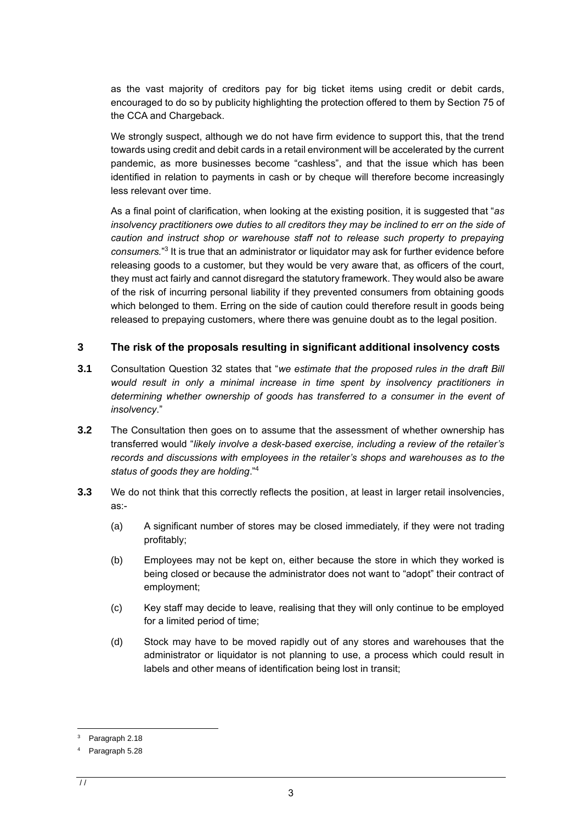as the vast majority of creditors pay for big ticket items using credit or debit cards, encouraged to do so by publicity highlighting the protection offered to them by Section 75 of the CCA and Chargeback.

We strongly suspect, although we do not have firm evidence to support this, that the trend towards using credit and debit cards in a retail environment will be accelerated by the current pandemic, as more businesses become "cashless", and that the issue which has been identified in relation to payments in cash or by cheque will therefore become increasingly less relevant over time.

As a final point of clarification, when looking at the existing position, it is suggested that "*as*  insolvency practitioners owe duties to all creditors they may be inclined to err on the side of *caution and instruct shop or warehouse staff not to release such property to prepaying*  consumers.<sup>"3</sup> It is true that an administrator or liquidator may ask for further evidence before releasing goods to a customer, but they would be very aware that, as officers of the court, they must act fairly and cannot disregard the statutory framework. They would also be aware of the risk of incurring personal liability if they prevented consumers from obtaining goods which belonged to them. Erring on the side of caution could therefore result in goods being released to prepaying customers, where there was genuine doubt as to the legal position.

### **3 The risk of the proposals resulting in significant additional insolvency costs**

- **3.1** Consultation Question 32 states that "*we estimate that the proposed rules in the draft Bill would result in only a minimal increase in time spent by insolvency practitioners in determining whether ownership of goods has transferred to a consumer in the event of insolvency*."
- **3.2** The Consultation then goes on to assume that the assessment of whether ownership has transferred would "*likely involve a desk-based exercise, including a review of the retailer's records and discussions with employees in the retailer's shops and warehouses as to the status of goods they are holding*."<sup>4</sup>
- **3.3** We do not think that this correctly reflects the position, at least in larger retail insolvencies, as:-
	- (a) A significant number of stores may be closed immediately, if they were not trading profitably;
	- (b) Employees may not be kept on, either because the store in which they worked is being closed or because the administrator does not want to "adopt" their contract of employment;
	- (c) Key staff may decide to leave, realising that they will only continue to be employed for a limited period of time;
	- (d) Stock may have to be moved rapidly out of any stores and warehouses that the administrator or liquidator is not planning to use, a process which could result in labels and other means of identification being lost in transit;

Paragraph 2.18

Paragraph 5.28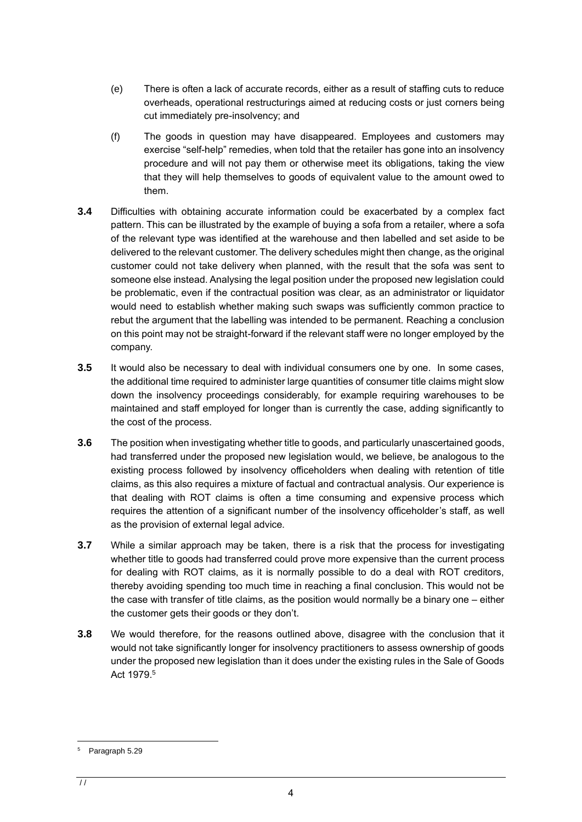- (e) There is often a lack of accurate records, either as a result of staffing cuts to reduce overheads, operational restructurings aimed at reducing costs or just corners being cut immediately pre-insolvency; and
- (f) The goods in question may have disappeared. Employees and customers may exercise "self-help" remedies, when told that the retailer has gone into an insolvency procedure and will not pay them or otherwise meet its obligations, taking the view that they will help themselves to goods of equivalent value to the amount owed to them.
- **3.4** Difficulties with obtaining accurate information could be exacerbated by a complex fact pattern. This can be illustrated by the example of buying a sofa from a retailer, where a sofa of the relevant type was identified at the warehouse and then labelled and set aside to be delivered to the relevant customer. The delivery schedules might then change, as the original customer could not take delivery when planned, with the result that the sofa was sent to someone else instead. Analysing the legal position under the proposed new legislation could be problematic, even if the contractual position was clear, as an administrator or liquidator would need to establish whether making such swaps was sufficiently common practice to rebut the argument that the labelling was intended to be permanent. Reaching a conclusion on this point may not be straight-forward if the relevant staff were no longer employed by the company.
- **3.5** It would also be necessary to deal with individual consumers one by one. In some cases, the additional time required to administer large quantities of consumer title claims might slow down the insolvency proceedings considerably, for example requiring warehouses to be maintained and staff employed for longer than is currently the case, adding significantly to the cost of the process.
- **3.6** The position when investigating whether title to goods, and particularly unascertained goods, had transferred under the proposed new legislation would, we believe, be analogous to the existing process followed by insolvency officeholders when dealing with retention of title claims, as this also requires a mixture of factual and contractual analysis. Our experience is that dealing with ROT claims is often a time consuming and expensive process which requires the attention of a significant number of the insolvency officeholder's staff, as well as the provision of external legal advice.
- **3.7** While a similar approach may be taken, there is a risk that the process for investigating whether title to goods had transferred could prove more expensive than the current process for dealing with ROT claims, as it is normally possible to do a deal with ROT creditors, thereby avoiding spending too much time in reaching a final conclusion. This would not be the case with transfer of title claims, as the position would normally be a binary one – either the customer gets their goods or they don't.
- **3.8** We would therefore, for the reasons outlined above, disagree with the conclusion that it would not take significantly longer for insolvency practitioners to assess ownership of goods under the proposed new legislation than it does under the existing rules in the Sale of Goods Act 1979. 5

<sup>5</sup> Paragraph 5.29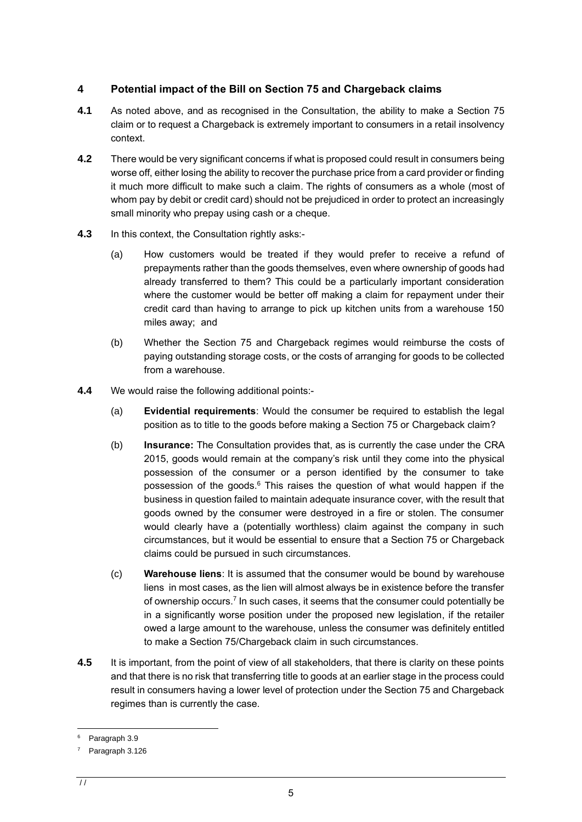# **4 Potential impact of the Bill on Section 75 and Chargeback claims**

- **4.1** As noted above, and as recognised in the Consultation, the ability to make a Section 75 claim or to request a Chargeback is extremely important to consumers in a retail insolvency context.
- **4.2** There would be very significant concerns if what is proposed could result in consumers being worse off, either losing the ability to recover the purchase price from a card provider or finding it much more difficult to make such a claim. The rights of consumers as a whole (most of whom pay by debit or credit card) should not be prejudiced in order to protect an increasingly small minority who prepay using cash or a cheque.
- **4.3** In this context, the Consultation rightly asks:-
	- (a) How customers would be treated if they would prefer to receive a refund of prepayments rather than the goods themselves, even where ownership of goods had already transferred to them? This could be a particularly important consideration where the customer would be better off making a claim for repayment under their credit card than having to arrange to pick up kitchen units from a warehouse 150 miles away; and
	- (b) Whether the Section 75 and Chargeback regimes would reimburse the costs of paying outstanding storage costs, or the costs of arranging for goods to be collected from a warehouse.
- **4.4** We would raise the following additional points:-
	- (a) **Evidential requirements**: Would the consumer be required to establish the legal position as to title to the goods before making a Section 75 or Chargeback claim?
	- (b) **Insurance:** The Consultation provides that, as is currently the case under the CRA 2015, goods would remain at the company's risk until they come into the physical possession of the consumer or a person identified by the consumer to take possession of the goods.<sup>6</sup> This raises the question of what would happen if the business in question failed to maintain adequate insurance cover, with the result that goods owned by the consumer were destroyed in a fire or stolen. The consumer would clearly have a (potentially worthless) claim against the company in such circumstances, but it would be essential to ensure that a Section 75 or Chargeback claims could be pursued in such circumstances.
	- (c) **Warehouse liens**: It is assumed that the consumer would be bound by warehouse liens in most cases, as the lien will almost always be in existence before the transfer of ownership occurs.<sup>7</sup> In such cases, it seems that the consumer could potentially be in a significantly worse position under the proposed new legislation, if the retailer owed a large amount to the warehouse, unless the consumer was definitely entitled to make a Section 75/Chargeback claim in such circumstances.
- **4.5** It is important, from the point of view of all stakeholders, that there is clarity on these points and that there is no risk that transferring title to goods at an earlier stage in the process could result in consumers having a lower level of protection under the Section 75 and Chargeback regimes than is currently the case.

Paragraph 3.9

Paragraph 3.126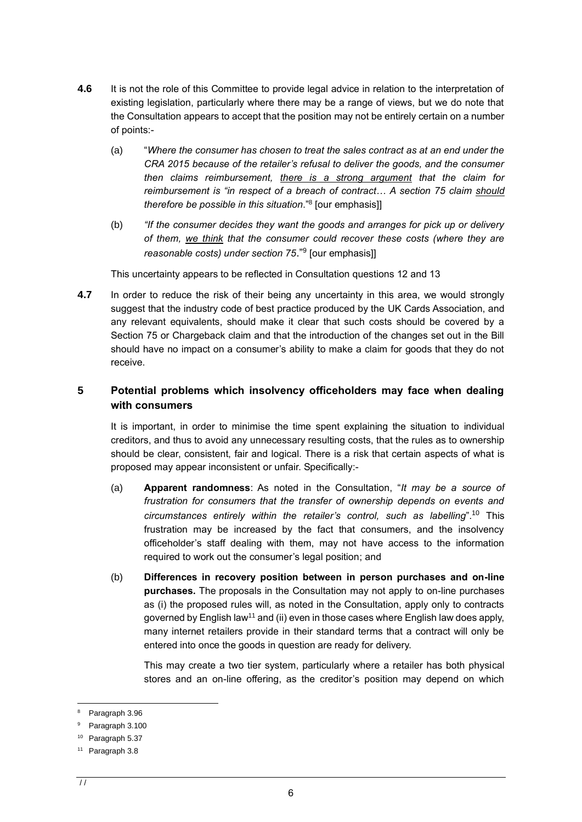- **4.6** It is not the role of this Committee to provide legal advice in relation to the interpretation of existing legislation, particularly where there may be a range of views, but we do note that the Consultation appears to accept that the position may not be entirely certain on a number of points:-
	- (a) "*Where the consumer has chosen to treat the sales contract as at an end under the CRA 2015 because of the retailer's refusal to deliver the goods, and the consumer then claims reimbursement, there is a strong argument that the claim for reimbursement is "in respect of a breach of contract… A section 75 claim should therefore be possible in this situation*."<sup>8</sup> [our emphasis]]
	- (b) *"If the consumer decides they want the goods and arranges for pick up or delivery of them, we think that the consumer could recover these costs (where they are reasonable costs) under section 75*."<sup>9</sup> [our emphasis]]

This uncertainty appears to be reflected in Consultation questions 12 and 13

**4.7** In order to reduce the risk of their being any uncertainty in this area, we would strongly suggest that the industry code of best practice produced by the UK Cards Association, and any relevant equivalents, should make it clear that such costs should be covered by a Section 75 or Chargeback claim and that the introduction of the changes set out in the Bill should have no impact on a consumer's ability to make a claim for goods that they do not receive.

# **5 Potential problems which insolvency officeholders may face when dealing with consumers**

It is important, in order to minimise the time spent explaining the situation to individual creditors, and thus to avoid any unnecessary resulting costs, that the rules as to ownership should be clear, consistent, fair and logical. There is a risk that certain aspects of what is proposed may appear inconsistent or unfair. Specifically:-

- (a) **Apparent randomness**: As noted in the Consultation, "*It may be a source of frustration for consumers that the transfer of ownership depends on events and circumstances entirely within the retailer's control, such as labelling*". <sup>10</sup> This frustration may be increased by the fact that consumers, and the insolvency officeholder's staff dealing with them, may not have access to the information required to work out the consumer's legal position; and
- (b) **Differences in recovery position between in person purchases and on-line purchases.** The proposals in the Consultation may not apply to on-line purchases as (i) the proposed rules will, as noted in the Consultation, apply only to contracts governed by English law<sup>11</sup> and (ii) even in those cases where English law does apply, many internet retailers provide in their standard terms that a contract will only be entered into once the goods in question are ready for delivery.

This may create a two tier system, particularly where a retailer has both physical stores and an on-line offering, as the creditor's position may depend on which

Paragraph 3.96

<sup>9</sup> Paragraph 3.100

<sup>10</sup> Paragraph 5.37

<sup>11</sup> Paragraph 3.8